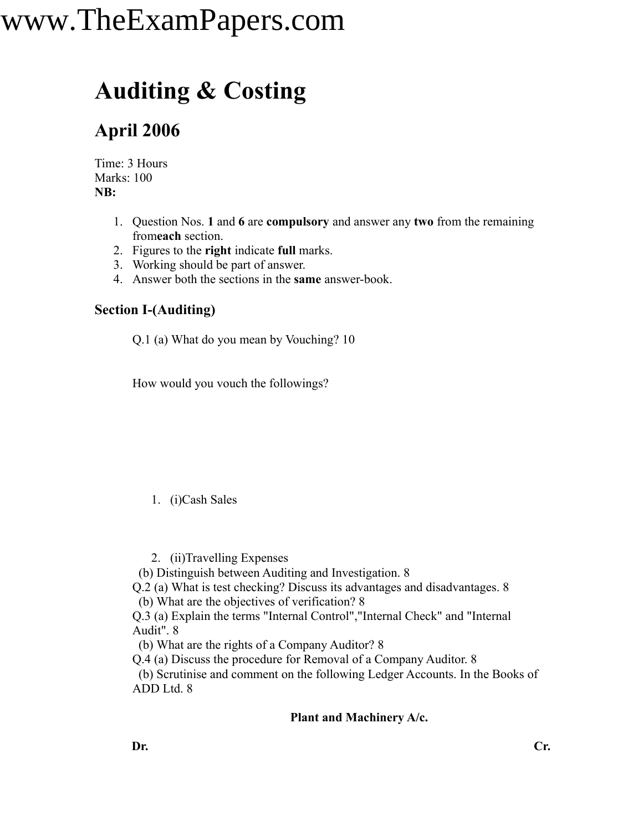### **Auditing & Costing**

### **April 2006**

Time: 3 Hours Marks: 100 **NB:**

- 1. Question Nos. **1** and **6** are **compulsory** and answer any **two** from the remaining from**each** section.
- 2. Figures to the **right** indicate **full** marks.
- 3. Working should be part of answer.
- 4. Answer both the sections in the **same** answer-book.

#### **Section I-(Auditing)**

Q.1 (a) What do you mean by Vouching? 10

How would you vouch the followings?

#### 1. (i)Cash Sales

2. (ii)Travelling Expenses

(b) Distinguish between Auditing and Investigation. 8

Q.2 (a) What is test checking? Discuss its advantages and disadvantages. 8

(b) What are the objectives of verification? 8

Q.3 (a) Explain the terms "Internal Control","Internal Check" and "Internal Audit". 8

(b) What are the rights of a Company Auditor? 8

Q.4 (a) Discuss the procedure for Removal of a Company Auditor. 8

(b) Scrutinise and comment on the following Ledger Accounts. In the Books of ADD Ltd. 8

#### **Plant and Machinery A/c.**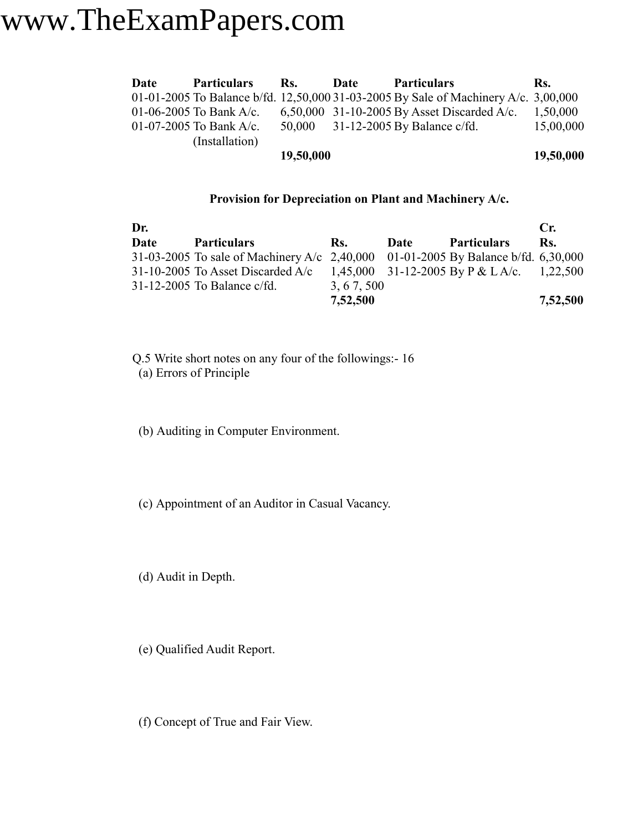| Date | <b>Particulars</b>      | Rs.       | Date | <b>Particulars</b>                                                                  | Rs.       |
|------|-------------------------|-----------|------|-------------------------------------------------------------------------------------|-----------|
|      |                         |           |      | 01-01-2005 To Balance b/fd. 12,50,000 31-03-2005 By Sale of Machinery A/c. 3,00,000 |           |
|      | 01-06-2005 To Bank A/c. |           |      | 6,50,000 31-10-2005 By Asset Discarded A/c.                                         | 1,50,000  |
|      | 01-07-2005 To Bank A/c. |           |      | 50,000 31-12-2005 By Balance c/fd.                                                  | 15,00,000 |
|      | (Installation)          |           |      |                                                                                     |           |
|      |                         | 19,50,000 |      |                                                                                     | 19,50,000 |

#### **Provision for Depreciation on Plant and Machinery A/c.**

| Dr.  |                                                                                     |            |      |                                            | $C_{\mathbf{r}}$ |
|------|-------------------------------------------------------------------------------------|------------|------|--------------------------------------------|------------------|
| Date | <b>Particulars</b>                                                                  | Rs.        | Date | <b>Particulars</b>                         | Rs.              |
|      | 31-03-2005 To sale of Machinery A/c $2,40,000$ 01-01-2005 By Balance b/fd. 6,30,000 |            |      |                                            |                  |
|      | 31-10-2005 To Asset Discarded $A/c$                                                 |            |      | 1,45,000 31-12-2005 By P & L A/c. 1,22,500 |                  |
|      | $31-12-2005$ To Balance c/fd.                                                       | 3, 67, 500 |      |                                            |                  |
|      |                                                                                     | 7,52,500   |      |                                            | 7,52,500         |

Q.5 Write short notes on any four of the followings:- 16 (a) Errors of Principle

(b) Auditing in Computer Environment.

(c) Appointment of an Auditor in Casual Vacancy.

(d) Audit in Depth.

(e) Qualified Audit Report.

(f) Concept of True and Fair View.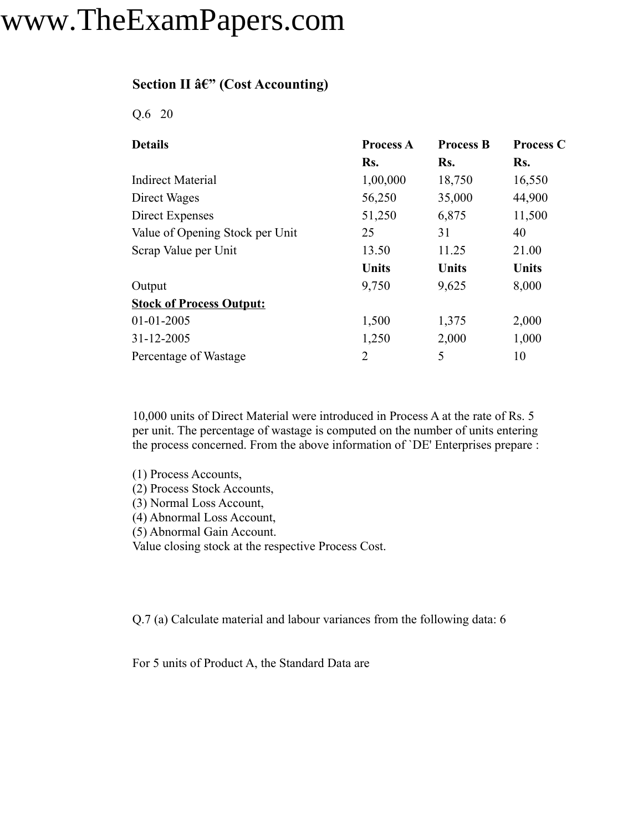#### **Section II â€" (Cost Accounting)**

Q.6 20

| <b>Details</b>                  | <b>Process A</b> | <b>Process B</b> | <b>Process C</b> |
|---------------------------------|------------------|------------------|------------------|
|                                 | Rs.              | Rs.              | Rs.              |
| <b>Indirect Material</b>        | 1,00,000         | 18,750           | 16,550           |
| Direct Wages                    | 56,250           | 35,000           | 44,900           |
| Direct Expenses                 | 51,250           | 6,875            | 11,500           |
| Value of Opening Stock per Unit | 25               | 31               | 40               |
| Scrap Value per Unit            | 13.50            | 11.25            | 21.00            |
|                                 | <b>Units</b>     | <b>Units</b>     | <b>Units</b>     |
| Output                          | 9,750            | 9,625            | 8,000            |
| <b>Stock of Process Output:</b> |                  |                  |                  |
| $01 - 01 - 2005$                | 1,500            | 1,375            | 2,000            |
| 31-12-2005                      | 1,250            | 2,000            | 1,000            |
| Percentage of Wastage           | $\overline{2}$   | 5                | 10               |

10,000 units of Direct Material were introduced in Process A at the rate of Rs. 5 per unit. The percentage of wastage is computed on the number of units entering the process concerned. From the above information of `DE' Enterprises prepare :

(1) Process Accounts, (2) Process Stock Accounts, (3) Normal Loss Account, (4) Abnormal Loss Account, (5) Abnormal Gain Account.

Value closing stock at the respective Process Cost.

Q.7 (a) Calculate material and labour variances from the following data: 6

For 5 units of Product A, the Standard Data are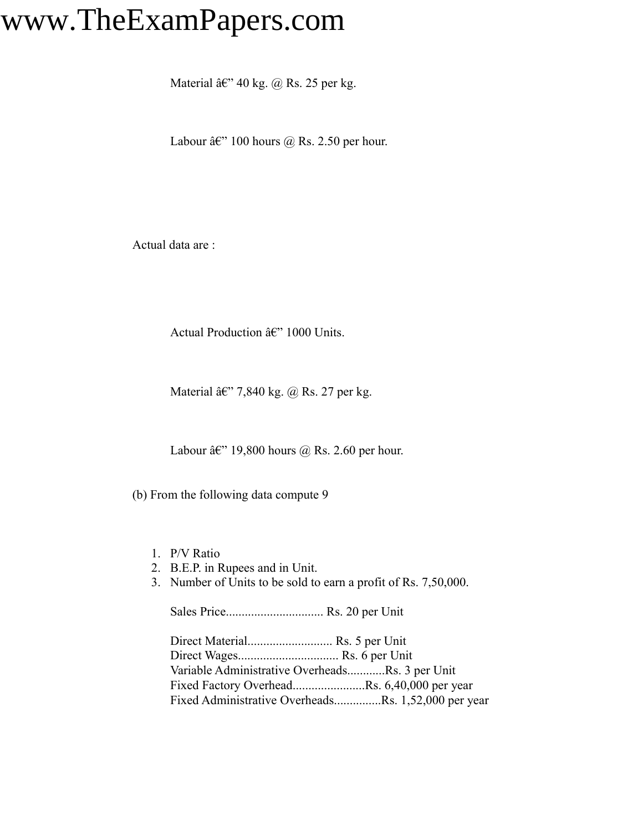Material  $\hat{a} \in \mathbb{C}^n$  40 kg. @ Rs. 25 per kg.

Labour  $\hat{a}\hat{\epsilon}$ " 100 hours  $\hat{\omega}$  Rs. 2.50 per hour.

Actual data are :

Actual Production  $\hat{a} \in$ " 1000 Units.

Material  $\hat{a} \in \mathbb{C}^{\times}$  7,840 kg. @ Rs. 27 per kg.

Labour  $\hat{a}\hat{\epsilon}$ " 19,800 hours @ Rs. 2.60 per hour.

(b) From the following data compute 9

- 1. P/V Ratio
- 2. B.E.P. in Rupees and in Unit.
- 3. Number of Units to be sold to earn a profit of Rs. 7,50,000.

Sales Price............................... Rs. 20 per Unit

Direct Material........................... Rs. 5 per Unit Direct Wages................................ Rs. 6 per Unit Variable Administrative Overheads............Rs. 3 per Unit Fixed Factory Overhead.......................Rs. 6,40,000 per year Fixed Administrative Overheads...............Rs. 1,52,000 per year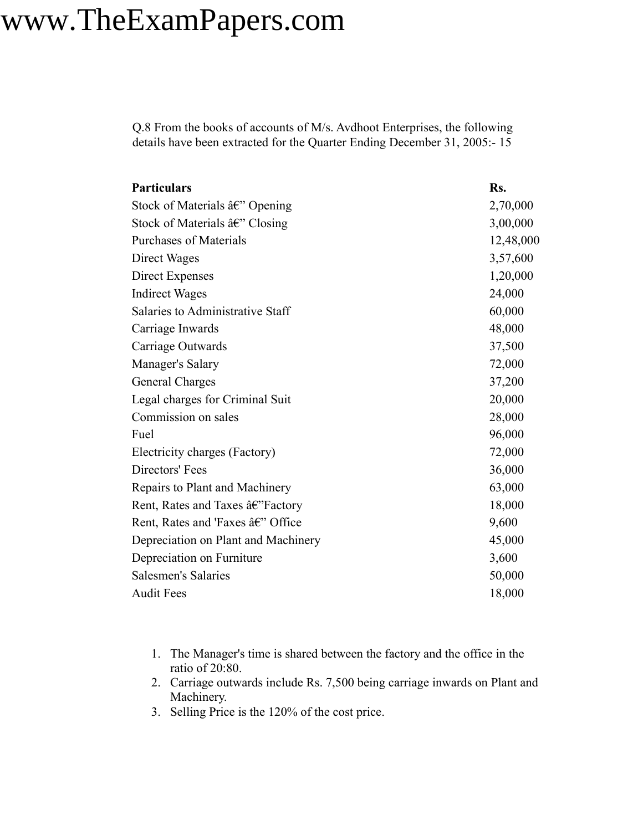Q.8 From the books of accounts of M/s. Avdhoot Enterprises, the following details have been extracted for the Quarter Ending December 31, 2005:- 15

| <b>Particulars</b>                                   | Rs.       |
|------------------------------------------------------|-----------|
| Stock of Materials â€" Opening                       | 2,70,000  |
| Stock of Materials $\hat{a} \in \mathcal{C}$ Closing | 3,00,000  |
| <b>Purchases of Materials</b>                        | 12,48,000 |
| Direct Wages                                         | 3,57,600  |
| Direct Expenses                                      | 1,20,000  |
| <b>Indirect Wages</b>                                | 24,000    |
| Salaries to Administrative Staff                     | 60,000    |
| Carriage Inwards                                     | 48,000    |
| Carriage Outwards                                    | 37,500    |
| Manager's Salary                                     | 72,000    |
| <b>General Charges</b>                               | 37,200    |
| Legal charges for Criminal Suit                      | 20,000    |
| Commission on sales                                  | 28,000    |
| Fuel                                                 | 96,000    |
| Electricity charges (Factory)                        | 72,000    |
| Directors' Fees                                      | 36,000    |
| Repairs to Plant and Machinery                       | 63,000    |
| Rent, Rates and Taxes â€"Factory                     | 18,000    |
| Rent, Rates and 'Faxes â€" Office                    | 9,600     |
| Depreciation on Plant and Machinery                  | 45,000    |
| Depreciation on Furniture                            | 3,600     |
| <b>Salesmen's Salaries</b>                           | 50,000    |
| <b>Audit Fees</b>                                    | 18,000    |

- 1. The Manager's time is shared between the factory and the office in the ratio of 20:80.
- 2. Carriage outwards include Rs. 7,500 being carriage inwards on Plant and Machinery.
- 3. Selling Price is the 120% of the cost price.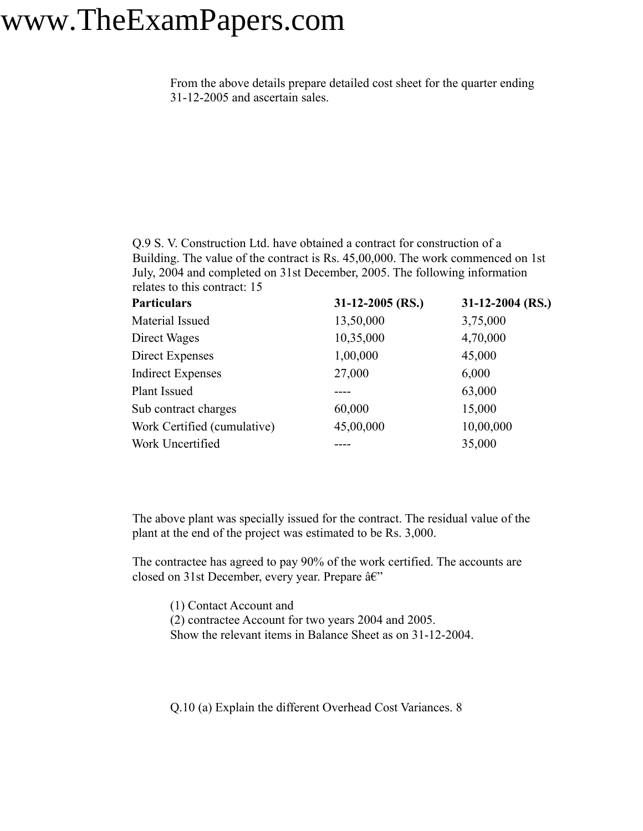From the above details prepare detailed cost sheet for the quarter ending 31-12-2005 and ascertain sales.

Q.9 S. V. Construction Ltd. have obtained a contract for construction of a Building. The value of the contract is Rs. 45,00,000. The work commenced on 1st July, 2004 and completed on 31st December, 2005. The following information relates to this contract: 15

| <b>Particulars</b>          | $31-12-2005$ (RS.) | $31-12-2004$ (RS.) |
|-----------------------------|--------------------|--------------------|
| Material Issued             | 13,50,000          | 3,75,000           |
| Direct Wages                | 10,35,000          | 4,70,000           |
| Direct Expenses             | 1,00,000           | 45,000             |
| <b>Indirect Expenses</b>    | 27,000             | 6,000              |
| Plant Issued                |                    | 63,000             |
| Sub contract charges        | 60,000             | 15,000             |
| Work Certified (cumulative) | 45,00,000          | 10,00,000          |
| Work Uncertified            |                    | 35,000             |

The above plant was specially issued for the contract. The residual value of the plant at the end of the project was estimated to be Rs. 3,000.

The contractee has agreed to pay 90% of the work certified. The accounts are closed on 31st December, every year. Prepare  $\hat{a} \in \tilde{C}$ 

(1) Contact Account and

(2) contractee Account for two years 2004 and 2005.

Show the relevant items in Balance Sheet as on 31-12-2004.

Q.10 (a) Explain the different Overhead Cost Variances. 8